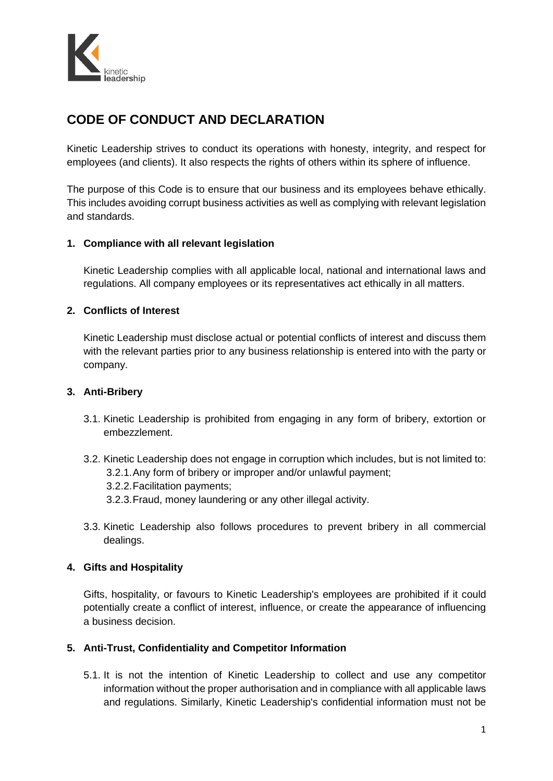

# **CODE OF CONDUCT AND DECLARATION**

Kinetic Leadership strives to conduct its operations with honesty, integrity, and respect for employees (and clients). It also respects the rights of others within its sphere of influence.

The purpose of this Code is to ensure that our business and its employees behave ethically. This includes avoiding corrupt business activities as well as complying with relevant legislation and standards.

# **1. Compliance with all relevant legislation**

Kinetic Leadership complies with all applicable local, national and international laws and regulations. All company employees or its representatives act ethically in all matters.

## **2. Conflicts of Interest**

Kinetic Leadership must disclose actual or potential conflicts of interest and discuss them with the relevant parties prior to any business relationship is entered into with the party or company.

#### **3. Anti-Bribery**

- 3.1. Kinetic Leadership is prohibited from engaging in any form of bribery, extortion or embezzlement.
- 3.2. Kinetic Leadership does not engage in corruption which includes, but is not limited to: 3.2.1.Any form of bribery or improper and/or unlawful payment; 3.2.2.Facilitation payments; 3.2.3.Fraud, money laundering or any other illegal activity.
- 3.3. Kinetic Leadership also follows procedures to prevent bribery in all commercial dealings.

# **4. Gifts and Hospitality**

Gifts, hospitality, or favours to Kinetic Leadership's employees are prohibited if it could potentially create a conflict of interest, influence, or create the appearance of influencing a business decision.

# **5. Anti-Trust, Confidentiality and Competitor Information**

5.1. It is not the intention of Kinetic Leadership to collect and use any competitor information without the proper authorisation and in compliance with all applicable laws and regulations. Similarly, Kinetic Leadership's confidential information must not be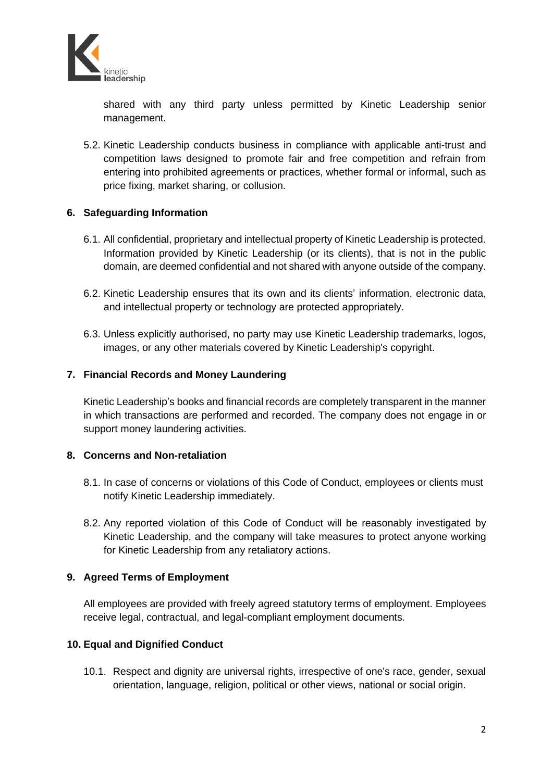

shared with any third party unless permitted by Kinetic Leadership senior management.

5.2. Kinetic Leadership conducts business in compliance with applicable anti-trust and competition laws designed to promote fair and free competition and refrain from entering into prohibited agreements or practices, whether formal or informal, such as price fixing, market sharing, or collusion.

## **6. Safeguarding Information**

- 6.1. All confidential, proprietary and intellectual property of Kinetic Leadership is protected. Information provided by Kinetic Leadership (or its clients), that is not in the public domain, are deemed confidential and not shared with anyone outside of the company.
- 6.2. Kinetic Leadership ensures that its own and its clients' information, electronic data, and intellectual property or technology are protected appropriately.
- 6.3. Unless explicitly authorised, no party may use Kinetic Leadership trademarks, logos, images, or any other materials covered by Kinetic Leadership's copyright.

## **7. Financial Records and Money Laundering**

Kinetic Leadership's books and financial records are completely transparent in the manner in which transactions are performed and recorded. The company does not engage in or support money laundering activities.

#### **8. Concerns and Non-retaliation**

- 8.1. In case of concerns or violations of this Code of Conduct, employees or clients must notify Kinetic Leadership immediately.
- 8.2. Any reported violation of this Code of Conduct will be reasonably investigated by Kinetic Leadership, and the company will take measures to protect anyone working for Kinetic Leadership from any retaliatory actions.

# **9. Agreed Terms of Employment**

All employees are provided with freely agreed statutory terms of employment. Employees receive legal, contractual, and legal-compliant employment documents.

## **10. Equal and Dignified Conduct**

10.1. Respect and dignity are universal rights, irrespective of one's race, gender, sexual orientation, language, religion, political or other views, national or social origin.